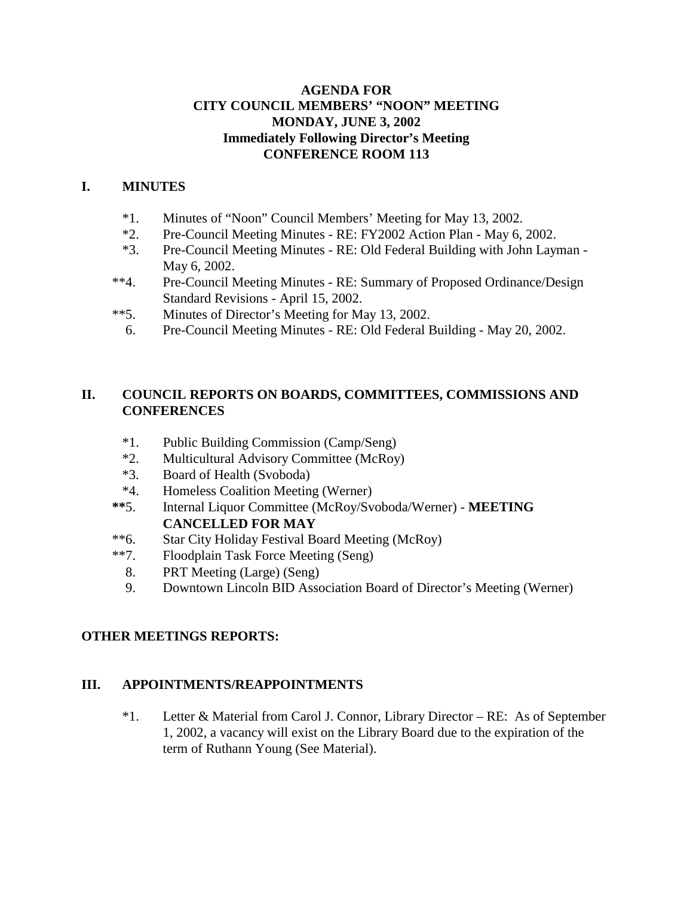### **AGENDA FOR CITY COUNCIL MEMBERS' "NOON" MEETING MONDAY, JUNE 3, 2002 Immediately Following Director's Meeting CONFERENCE ROOM 113**

## **I. MINUTES**

- \*1. Minutes of "Noon" Council Members' Meeting for May 13, 2002.
- \*2. Pre-Council Meeting Minutes RE: FY2002 Action Plan May 6, 2002.
- \*3. Pre-Council Meeting Minutes RE: Old Federal Building with John Layman May 6, 2002.
- \*\*4. Pre-Council Meeting Minutes RE: Summary of Proposed Ordinance/Design Standard Revisions - April 15, 2002.
- \*\*5. Minutes of Director's Meeting for May 13, 2002.
	- 6. Pre-Council Meeting Minutes RE: Old Federal Building May 20, 2002.

### **II. COUNCIL REPORTS ON BOARDS, COMMITTEES, COMMISSIONS AND CONFERENCES**

- \*1. Public Building Commission (Camp/Seng)
- \*2. Multicultural Advisory Committee (McRoy)
- \*3. Board of Health (Svoboda)
- \*4. Homeless Coalition Meeting (Werner)
- **\*\***5. Internal Liquor Committee (McRoy/Svoboda/Werner) **MEETING CANCELLED FOR MAY**
- \*\*6. Star City Holiday Festival Board Meeting (McRoy)
- \*\*7. Floodplain Task Force Meeting (Seng)
	- 8. PRT Meeting (Large) (Seng)
	- 9. Downtown Lincoln BID Association Board of Director's Meeting (Werner)

### **OTHER MEETINGS REPORTS:**

### **III. APPOINTMENTS/REAPPOINTMENTS**

\*1. Letter & Material from Carol J. Connor, Library Director – RE: As of September 1, 2002, a vacancy will exist on the Library Board due to the expiration of the term of Ruthann Young (See Material).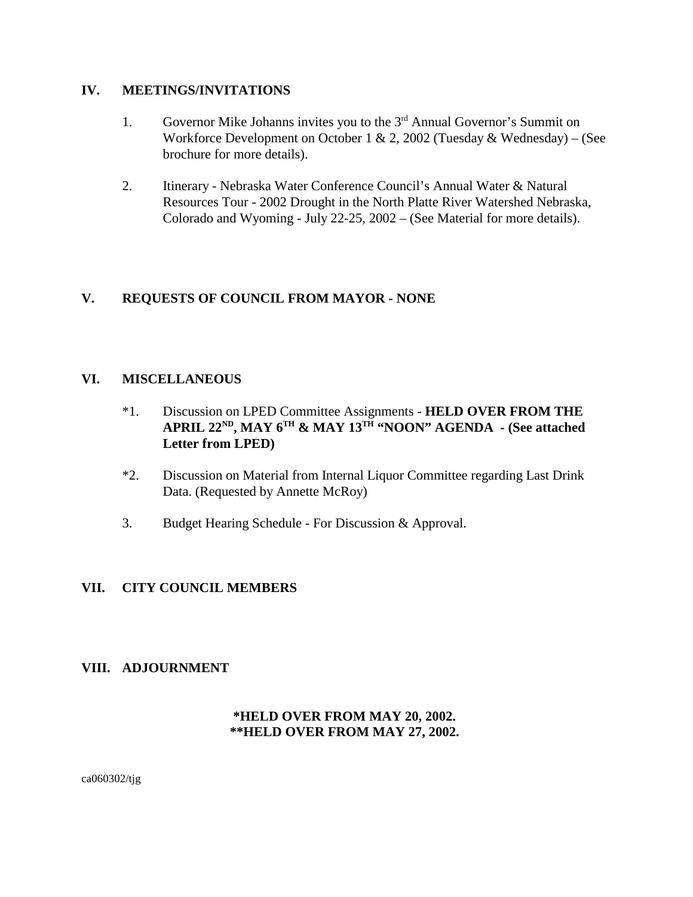#### **IV. MEETINGS/INVITATIONS**

- 1. Governor Mike Johanns invites you to the 3<sup>rd</sup> Annual Governor's Summit on Workforce Development on October 1 & 2, 2002 (Tuesday & Wednesday) – (See brochure for more details).
- 2. Itinerary Nebraska Water Conference Council's Annual Water & Natural Resources Tour - 2002 Drought in the North Platte River Watershed Nebraska, Colorado and Wyoming - July 22-25, 2002 – (See Material for more details).

# **V. REQUESTS OF COUNCIL FROM MAYOR - NONE**

### **VI. MISCELLANEOUS**

- \*1. Discussion on LPED Committee Assignments **HELD OVER FROM THE APRIL 22ND, MAY 6TH & MAY 13TH "NOON" AGENDA - (See attached Letter from LPED)**
- \*2. Discussion on Material from Internal Liquor Committee regarding Last Drink Data. (Requested by Annette McRoy)
- 3. Budget Hearing Schedule For Discussion & Approval.

### **VII. CITY COUNCIL MEMBERS**

#### **VIII. ADJOURNMENT**

### **\*HELD OVER FROM MAY 20, 2002. \*\*HELD OVER FROM MAY 27, 2002.**

ca060302/tjg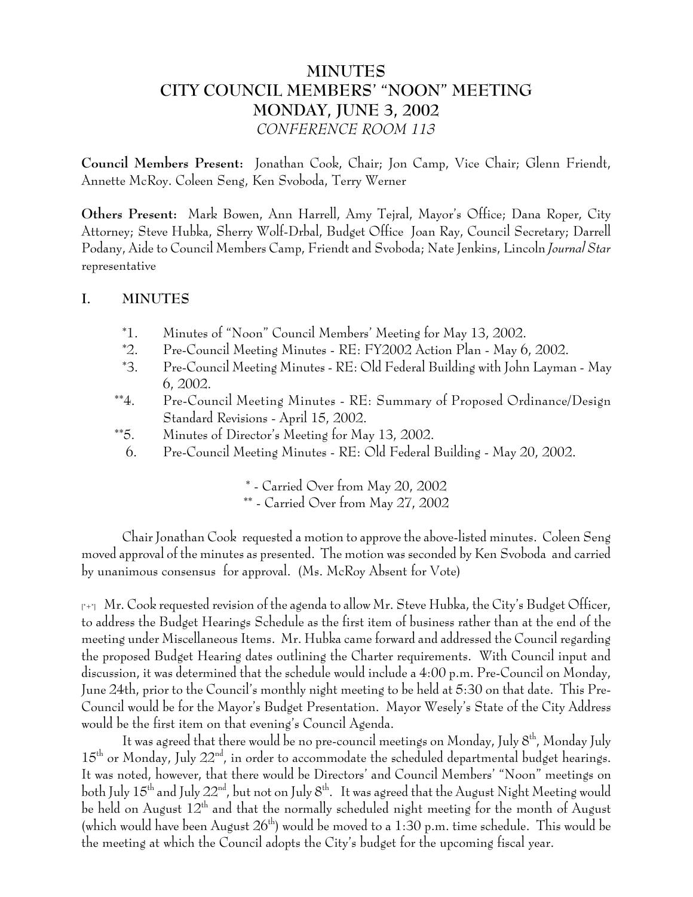# **MINUTES CITY COUNCIL MEMBERS' "NOON" MEETING MONDAY, JUNE 3, 2002** *CONFERENCE ROOM 113*

**Council Members Present:** Jonathan Cook, Chair; Jon Camp, Vice Chair; Glenn Friendt, Annette McRoy. Coleen Seng, Ken Svoboda, Terry Werner

**Others Present:** Mark Bowen, Ann Harrell, Amy Tejral, Mayor's Office; Dana Roper, City Attorney; Steve Hubka, Sherry Wolf-Drbal, Budget Office Joan Ray, Council Secretary; Darrell Podany, Aide to Council Members Camp, Friendt and Svoboda; Nate Jenkins, Lincoln *Journal Star* representative

### **I. MINUTES**

- \*1. Minutes of "Noon" Council Members' Meeting for May 13, 2002.
- \*2. Pre-Council Meeting Minutes RE: FY2002 Action Plan May 6, 2002.
- \*3. Pre-Council Meeting Minutes RE: Old Federal Building with John Layman May 6, 2002.
- \*\*4. Pre-Council Meeting Minutes RE: Summary of Proposed Ordinance/Design Standard Revisions - April 15, 2002.
- \*\*5. Minutes of Director's Meeting for May 13, 2002.
	- 6. Pre-Council Meeting Minutes RE: Old Federal Building May 20, 2002.

\* - Carried Over from May 20, 2002 \*\* - Carried Over from May 27, 2002

Chair Jonathan Cook requested a motion to approve the above-listed minutes. Coleen Seng moved approval of the minutes as presented. The motion was seconded by Ken Svoboda and carried by unanimous consensus for approval. (Ms. McRoy Absent for Vote)

 $\lceil r+1 \rceil$  Mr. Cook requested revision of the agenda to allow Mr. Steve Hubka, the City's Budget Officer, to address the Budget Hearings Schedule as the first item of business rather than at the end of the meeting under Miscellaneous Items. Mr. Hubka came forward and addressed the Council regarding the proposed Budget Hearing dates outlining the Charter requirements. With Council input and discussion, it was determined that the schedule would include a 4:00 p.m. Pre-Council on Monday, June 24th, prior to the Council's monthly night meeting to be held at 5:30 on that date. This Pre-Council would be for the Mayor's Budget Presentation. Mayor Wesely's State of the City Address would be the first item on that evening's Council Agenda.

It was agreed that there would be no pre-council meetings on Monday, July 8<sup>th</sup>, Monday July 15<sup>th</sup> or Monday, July 22<sup>nd</sup>, in order to accommodate the scheduled departmental budget hearings. It was noted, however, that there would be Directors' and Council Members' "Noon" meetings on both July  $15<sup>th</sup>$  and July  $22<sup>nd</sup>$ , but not on July  $8<sup>th</sup>$ . It was agreed that the August Night Meeting would be held on August 12th and that the normally scheduled night meeting for the month of August (which would have been August  $26<sup>th</sup>$ ) would be moved to a 1:30 p.m. time schedule. This would be the meeting at which the Council adopts the City's budget for the upcoming fiscal year.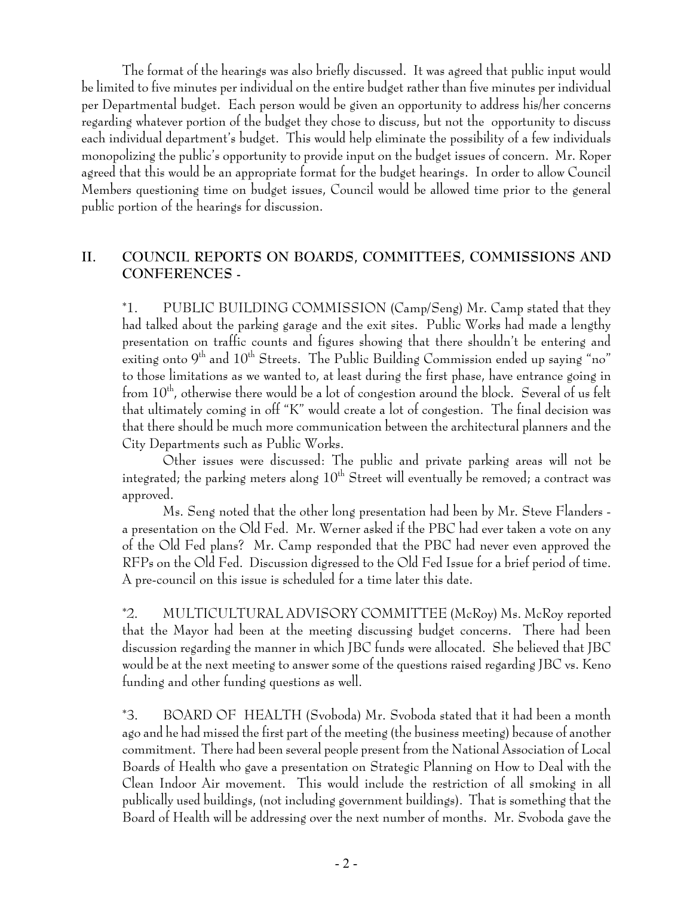The format of the hearings was also briefly discussed. It was agreed that public input would be limited to five minutes per individual on the entire budget rather than five minutes per individual per Departmental budget. Each person would be given an opportunity to address his/her concerns regarding whatever portion of the budget they chose to discuss, but not the opportunity to discuss each individual department's budget. This would help eliminate the possibility of a few individuals monopolizing the public's opportunity to provide input on the budget issues of concern. Mr. Roper agreed that this would be an appropriate format for the budget hearings. In order to allow Council Members questioning time on budget issues, Council would be allowed time prior to the general public portion of the hearings for discussion.

# **II. COUNCIL REPORTS ON BOARDS, COMMITTEES, COMMISSIONS AND CONFERENCES -**

\*1. PUBLIC BUILDING COMMISSION (Camp/Seng) Mr. Camp stated that they had talked about the parking garage and the exit sites. Public Works had made a lengthy presentation on traffic counts and figures showing that there shouldn't be entering and exiting onto  $9<sup>th</sup>$  and  $10<sup>th</sup>$  Streets. The Public Building Commission ended up saying "no" to those limitations as we wanted to, at least during the first phase, have entrance going in from  $10^{th}$ , otherwise there would be a lot of congestion around the block. Several of us felt that ultimately coming in off "K" would create a lot of congestion. The final decision was that there should be much more communication between the architectural planners and the City Departments such as Public Works.

Other issues were discussed: The public and private parking areas will not be integrated; the parking meters along  $10<sup>th</sup>$  Street will eventually be removed; a contract was approved.

Ms. Seng noted that the other long presentation had been by Mr. Steve Flanders a presentation on the Old Fed. Mr. Werner asked if the PBC had ever taken a vote on any of the Old Fed plans? Mr. Camp responded that the PBC had never even approved the RFPs on the Old Fed. Discussion digressed to the Old Fed Issue for a brief period of time. A pre-council on this issue is scheduled for a time later this date.

\*2. MULTICULTURAL ADVISORY COMMITTEE (McRoy) Ms. McRoy reported that the Mayor had been at the meeting discussing budget concerns. There had been discussion regarding the manner in which JBC funds were allocated. She believed that JBC would be at the next meeting to answer some of the questions raised regarding JBC vs. Keno funding and other funding questions as well.

\*3. BOARD OF HEALTH (Svoboda) Mr. Svoboda stated that it had been a month ago and he had missed the first part of the meeting (the business meeting) because of another commitment. There had been several people present from the National Association of Local Boards of Health who gave a presentation on Strategic Planning on How to Deal with the Clean Indoor Air movement. This would include the restriction of all smoking in all publically used buildings, (not including government buildings). That is something that the Board of Health will be addressing over the next number of months. Mr. Svoboda gave the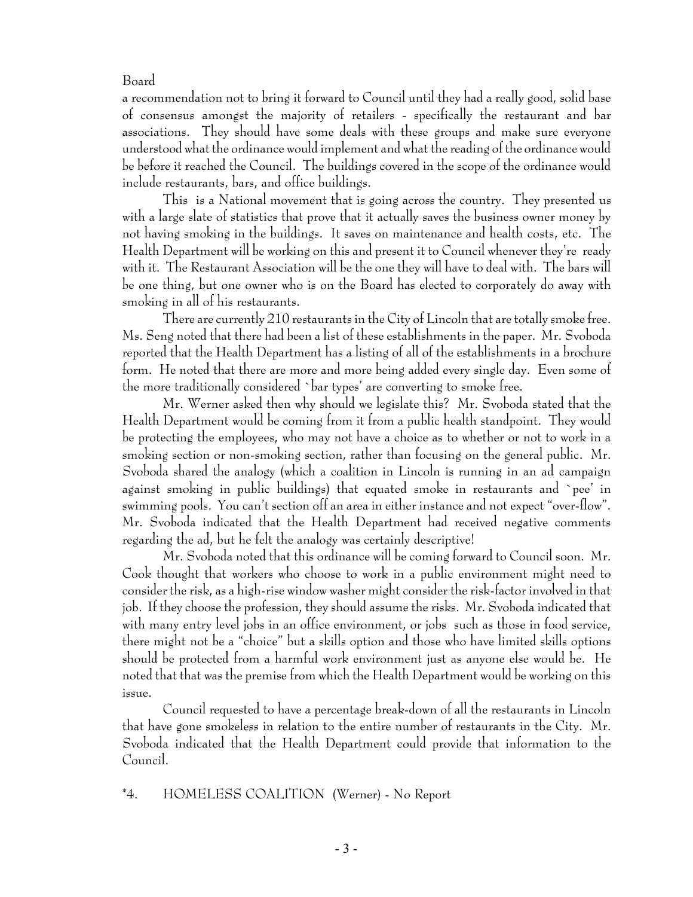#### Board

a recommendation not to bring it forward to Council until they had a really good, solid base of consensus amongst the majority of retailers - specifically the restaurant and bar associations. They should have some deals with these groups and make sure everyone understood what the ordinance would implement and what the reading of the ordinance would be before it reached the Council. The buildings covered in the scope of the ordinance would include restaurants, bars, and office buildings.

This is a National movement that is going across the country. They presented us with a large slate of statistics that prove that it actually saves the business owner money by not having smoking in the buildings. It saves on maintenance and health costs, etc. The Health Department will be working on this and present it to Council whenever they're ready with it. The Restaurant Association will be the one they will have to deal with. The bars will be one thing, but one owner who is on the Board has elected to corporately do away with smoking in all of his restaurants.

There are currently 210 restaurants in the City of Lincoln that are totally smoke free. Ms. Seng noted that there had been a list of these establishments in the paper. Mr. Svoboda reported that the Health Department has a listing of all of the establishments in a brochure form. He noted that there are more and more being added every single day. Even some of the more traditionally considered `bar types' are converting to smoke free.

Mr. Werner asked then why should we legislate this? Mr. Svoboda stated that the Health Department would be coming from it from a public health standpoint. They would be protecting the employees, who may not have a choice as to whether or not to work in a smoking section or non-smoking section, rather than focusing on the general public. Mr. Svoboda shared the analogy (which a coalition in Lincoln is running in an ad campaign against smoking in public buildings) that equated smoke in restaurants and `pee' in swimming pools. You can't section off an area in either instance and not expect "over-flow". Mr. Svoboda indicated that the Health Department had received negative comments regarding the ad, but he felt the analogy was certainly descriptive!

Mr. Svoboda noted that this ordinance will be coming forward to Council soon. Mr. Cook thought that workers who choose to work in a public environment might need to consider the risk, as a high-rise window washer might consider the risk-factor involved in that job. If they choose the profession, they should assume the risks. Mr. Svoboda indicated that with many entry level jobs in an office environment, or jobs such as those in food service, there might not be a "choice" but a skills option and those who have limited skills options should be protected from a harmful work environment just as anyone else would be. He noted that that was the premise from which the Health Department would be working on this issue.

Council requested to have a percentage break-down of all the restaurants in Lincoln that have gone smokeless in relation to the entire number of restaurants in the City. Mr. Svoboda indicated that the Health Department could provide that information to the Council.

#### \*4. HOMELESS COALITION (Werner) - No Report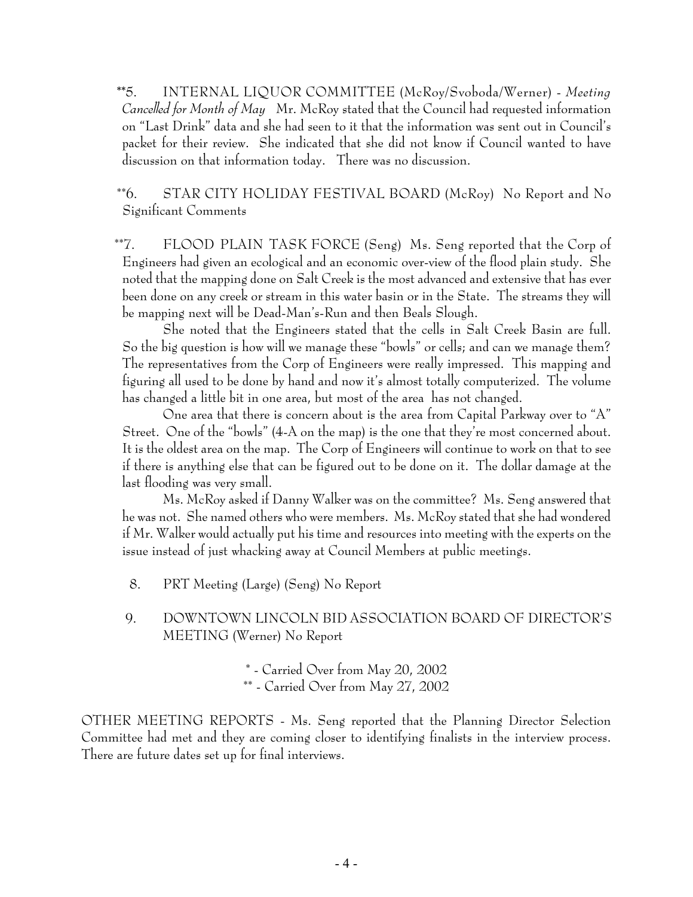**\*\***5. INTERNAL LIQUOR COMMITTEE (McRoy/Svoboda/Werner) - *Meeting Cancelled for Month of May* Mr. McRoy stated that the Council had requested information on "Last Drink" data and she had seen to it that the information was sent out in Council's packet for their review. She indicated that she did not know if Council wanted to have discussion on that information today. There was no discussion.

\*\*6. STAR CITY HOLIDAY FESTIVAL BOARD (McRoy) No Report and No Significant Comments

 \*\*7. FLOOD PLAIN TASK FORCE (Seng) Ms. Seng reported that the Corp of Engineers had given an ecological and an economic over-view of the flood plain study. She noted that the mapping done on Salt Creek is the most advanced and extensive that has ever been done on any creek or stream in this water basin or in the State. The streams they will be mapping next will be Dead-Man's-Run and then Beals Slough.

She noted that the Engineers stated that the cells in Salt Creek Basin are full. So the big question is how will we manage these "bowls" or cells; and can we manage them? The representatives from the Corp of Engineers were really impressed. This mapping and figuring all used to be done by hand and now it's almost totally computerized. The volume has changed a little bit in one area, but most of the area has not changed.

One area that there is concern about is the area from Capital Parkway over to "A" Street. One of the "bowls" (4-A on the map) is the one that they're most concerned about. It is the oldest area on the map. The Corp of Engineers will continue to work on that to see if there is anything else that can be figured out to be done on it. The dollar damage at the last flooding was very small.

Ms. McRoy asked if Danny Walker was on the committee? Ms. Seng answered that he was not. She named others who were members. Ms. McRoy stated that she had wondered if Mr. Walker would actually put his time and resources into meeting with the experts on the issue instead of just whacking away at Council Members at public meetings.

- 8. PRT Meeting (Large) (Seng) No Report
- 9. DOWNTOWN LINCOLN BID ASSOCIATION BOARD OF DIRECTOR'S MEETING (Werner) No Report

\* - Carried Over from May 20, 2002 \*\* - Carried Over from May 27, 2002

OTHER MEETING REPORTS - Ms. Seng reported that the Planning Director Selection Committee had met and they are coming closer to identifying finalists in the interview process. There are future dates set up for final interviews.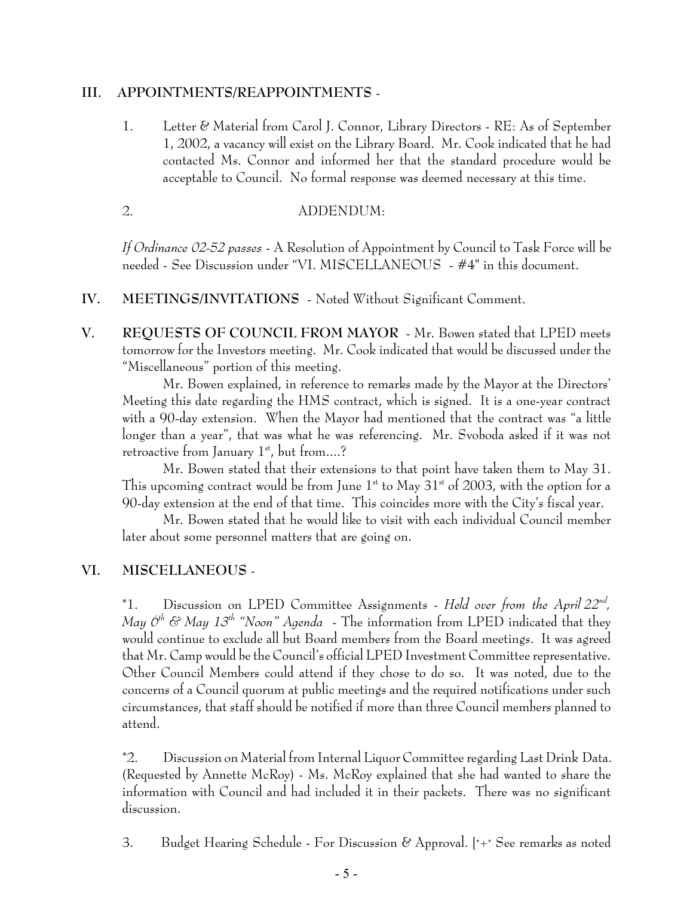#### **III. APPOINTMENTS/REAPPOINTMENTS** -

1. Letter & Material from Carol J. Connor, Library Directors - RE: As of September 1, 2002, a vacancy will exist on the Library Board. Mr. Cook indicated that he had contacted Ms. Connor and informed her that the standard procedure would be acceptable to Council. No formal response was deemed necessary at this time.

### 2. ADDENDUM:

*If Ordinance 02-52 passes* - A Resolution of Appointment by Council to Task Force will be needed - See Discussion under "VI. MISCELLANEOUS - #4" in this document.

- **IV. MEETINGS/INVITATIONS**  Noted Without Significant Comment.
- **V. REQUESTS OF COUNCIL FROM MAYOR** Mr. Bowen stated that LPED meets tomorrow for the Investors meeting. Mr. Cook indicated that would be discussed under the "Miscellaneous" portion of this meeting.

Mr. Bowen explained, in reference to remarks made by the Mayor at the Directors' Meeting this date regarding the HMS contract, which is signed. It is a one-year contract with a 90-day extension. When the Mayor had mentioned that the contract was "a little longer than a year", that was what he was referencing. Mr. Svoboda asked if it was not retroactive from January  $1<sup>st</sup>$ , but from....?

Mr. Bowen stated that their extensions to that point have taken them to May 31. This upcoming contract would be from June  $1<sup>st</sup>$  to May 31 $<sup>st</sup>$  of 2003, with the option for a</sup> 90-day extension at the end of that time. This coincides more with the City's fiscal year.

Mr. Bowen stated that he would like to visit with each individual Council member later about some personnel matters that are going on.

# **VI. MISCELLANEOUS** -

\*1. Discussion on LPED Committee Assignments - *Held over from the April 22nd, May*  $\mathcal{O}^{th}$  *& May 13<sup>th</sup> "Noon" Agenda* - The information from LPED indicated that they would continue to exclude all but Board members from the Board meetings. It was agreed that Mr. Camp would be the Council's official LPED Investment Committee representative. Other Council Members could attend if they chose to do so. It was noted, due to the concerns of a Council quorum at public meetings and the required notifications under such circumstances, that staff should be notified if more than three Council members planned to attend.

\*2. Discussion on Material from Internal Liquor Committee regarding Last Drink Data. (Requested by Annette McRoy) - Ms. McRoy explained that she had wanted to share the information with Council and had included it in their packets. There was no significant discussion.

3. Budget Hearing Schedule - For Discussion & Approval. [\*+\* See remarks as noted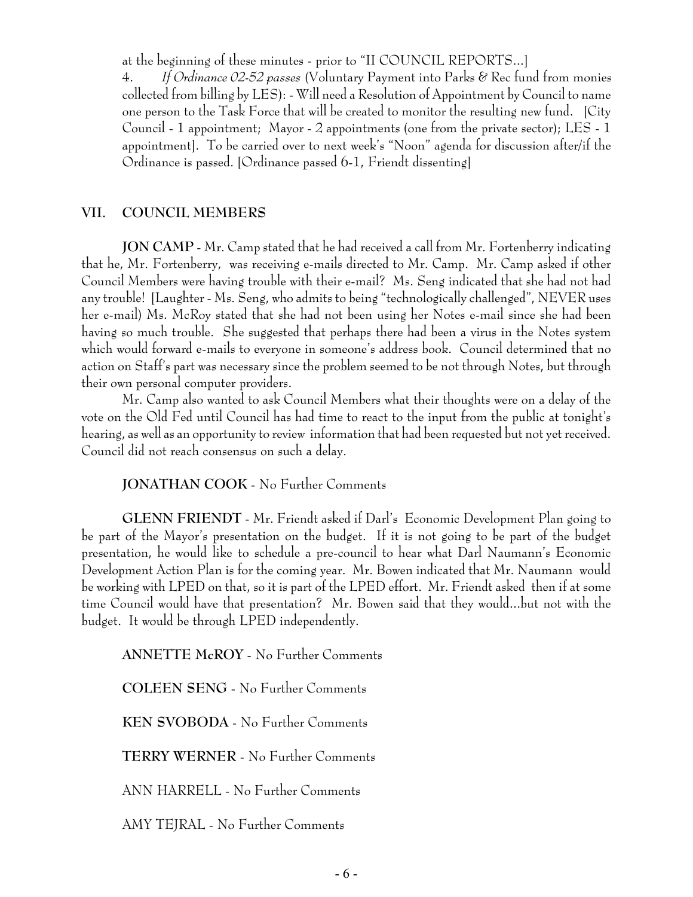at the beginning of these minutes - prior to "II COUNCIL REPORTS...]

 4. *If Ordinance 02-52 passes* (Voluntary Payment into Parks & Rec fund from monies collected from billing by LES): - Will need a Resolution of Appointment by Council to name one person to the Task Force that will be created to monitor the resulting new fund. [City Council - 1 appointment; Mayor - 2 appointments (one from the private sector); LES - 1 appointment]. To be carried over to next week's "Noon" agenda for discussion after/if the Ordinance is passed. [Ordinance passed 6-1, Friendt dissenting]

### **VII. COUNCIL MEMBERS**

**JON CAMP** - Mr. Camp stated that he had received a call from Mr. Fortenberry indicating that he, Mr. Fortenberry, was receiving e-mails directed to Mr. Camp. Mr. Camp asked if other Council Members were having trouble with their e-mail? Ms. Seng indicated that she had not had any trouble! [Laughter - Ms. Seng, who admits to being "technologically challenged", NEVER uses her e-mail) Ms. McRoy stated that she had not been using her Notes e-mail since she had been having so much trouble. She suggested that perhaps there had been a virus in the Notes system which would forward e-mails to everyone in someone's address book. Council determined that no action on Staff's part was necessary since the problem seemed to be not through Notes, but through their own personal computer providers.

Mr. Camp also wanted to ask Council Members what their thoughts were on a delay of the vote on the Old Fed until Council has had time to react to the input from the public at tonight's hearing, as well as an opportunity to review information that had been requested but not yet received. Council did not reach consensus on such a delay.

### **JONATHAN COOK** - No Further Comments

**GLENN FRIENDT** - Mr. Friendt asked if Darl's Economic Development Plan going to be part of the Mayor's presentation on the budget. If it is not going to be part of the budget presentation, he would like to schedule a pre-council to hear what Darl Naumann's Economic Development Action Plan is for the coming year. Mr. Bowen indicated that Mr. Naumann would be working with LPED on that, so it is part of the LPED effort. Mr. Friendt asked then if at some time Council would have that presentation? Mr. Bowen said that they would...but not with the budget. It would be through LPED independently.

**ANNETTE McROY** - No Further Comments

**COLEEN SENG** - No Further Comments

**KEN SVOBODA** - No Further Comments

**TERRY WERNER** - No Further Comments

ANN HARRELL - No Further Comments

AMY TEJRAL - No Further Comments